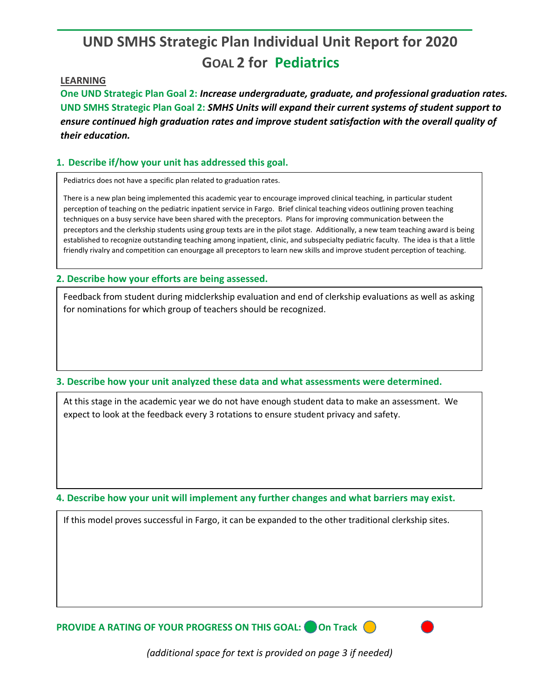# **UND SMHS Strategic Plan Individual Unit Report for 2020 GOAL 2 for Pediatrics**

## **LEARNING**

**One UND Strategic Plan Goal 2:** *Increase undergraduate, graduate, and professional graduation rates.* **UND SMHS Strategic Plan Goal 2:** *SMHS Units will expand their current systems of student support to ensure continued high graduation rates and improve student satisfaction with the overall quality of their education.*

# **1. Describe if/how your unit has addressed this goal.**

Pediatrics does not have a specific plan related to graduation rates.

There is a new plan being implemented this academic year to encourage improved clinical teaching, in particular student perception of teaching on the pediatric inpatient service in Fargo. Brief clinical teaching videos outlining proven teaching techniques on a busy service have been shared with the preceptors. Plans for improving communication between the preceptors and the clerkship students using group texts are in the pilot stage. Additionally, a new team teaching award is being established to recognize outstanding teaching among inpatient, clinic, and subspecialty pediatric faculty. The idea is that a little friendly rivalry and competition can enourgage all preceptors to learn new skills and improve student perception of teaching.

## **2. Describe how your efforts are being assessed.**

Feedback from student during midclerkship evaluation and end of clerkship evaluations as well as asking for nominations for which group of teachers should be recognized.

#### **3. Describe how your unit analyzed these data and what assessments were determined.**

At this stage in the academic year we do not have enough student data to make an assessment. We expect to look at the feedback every 3 rotations to ensure student privacy and safety.

**4. Describe how your unit will implement any further changes and what barriers may exist.**

If this model proves successful in Fargo, it can be expanded to the other traditional clerkship sites.

**PROVIDE A RATING OF YOUR PROGRESS ON THIS GOAL:** On Track (

*(additional space for text is provided on page 3 if needed)*